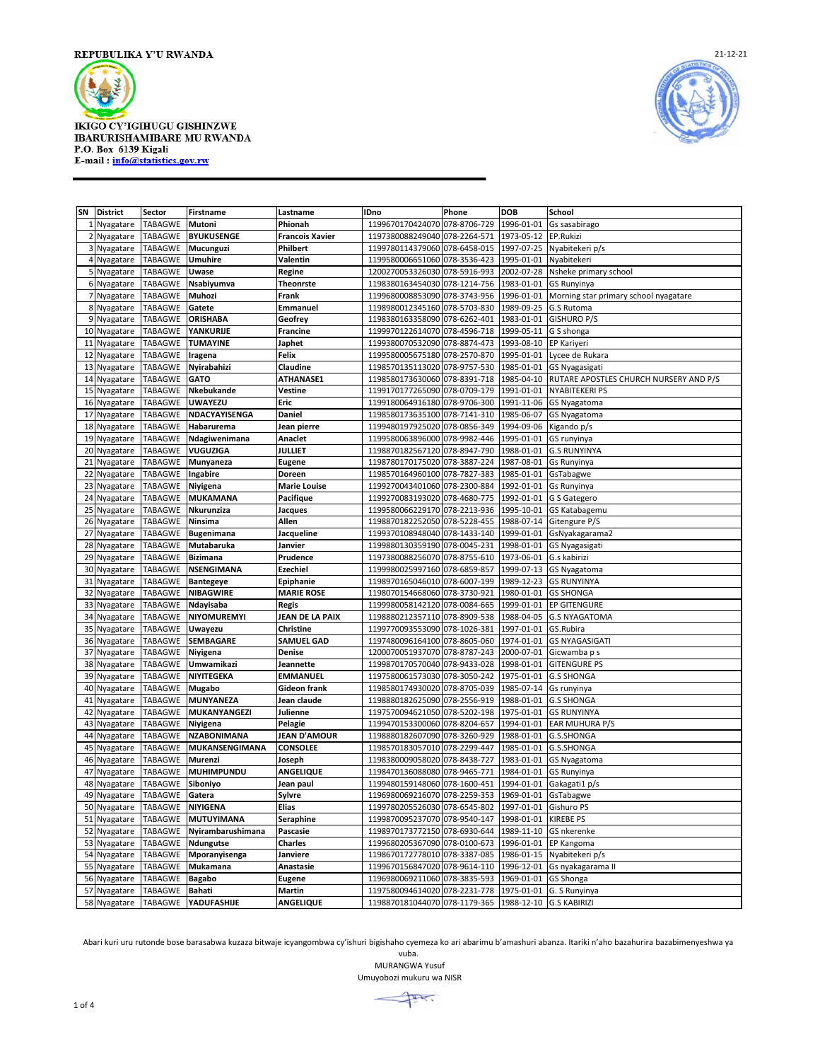



| SN             | <b>District</b> | Sector                        | Firstname                              | Lastname               | <b>IDno</b>                                         | Phone        | <b>DOB</b>              | <b>School</b>                          |
|----------------|-----------------|-------------------------------|----------------------------------------|------------------------|-----------------------------------------------------|--------------|-------------------------|----------------------------------------|
| 1              | Nyagatare       | TABAGWE                       | Mutoni                                 | Phionah                | 1199670170424070 078-8706-729                       |              | 1996-01-01              | Gs sasabirago                          |
| $\overline{2}$ | Nyagatare       | <b>TABAGWE</b>                | <b>BYUKUSENGE</b>                      | <b>Francois Xavier</b> | 1197380088249040 078-2264-571                       |              | 1973-05-12              | EP.Rukizi                              |
| 3              | Nyagatare       | TABAGWE                       | Mucunguzi                              | Philbert               | 1199780114379060 078-6458-015                       |              | 1997-07-25              | Nyabitekeri p/s                        |
| 4              | Nyagatare       | TABAGWE                       | <b>Umuhire</b>                         | Valentin               | 1199580006651060 078-3536-423                       |              | 1995-01-01              | Nyabitekeri                            |
|                | 5 Nyagatare     | TABAGWE                       | Uwase                                  | Regine                 | 1200270053326030 078-5916-993                       |              | 2002-07-28              | Nsheke primary school                  |
|                | 6 Nyagatare     | TABAGWE                       | Nsabiyumva                             | <b>Theonrste</b>       | 1198380163454030                                    | 078-1214-756 | 1983-01-01              | <b>GS Runyinya</b>                     |
| 7              | Nyagatare       | TABAGWE                       | Muhozi                                 | Frank                  | 1199680008853090 078-3743-956                       |              | 1996-01-01              | Morning star primary school nyagatare  |
|                | 8 Nyagatare     | TABAGWE                       | Gatete                                 | Emmanuel               | 1198980012345160 078-5703-830                       |              | 1989-09-25              | G.S Rutoma                             |
|                | 9 Nyagatare     | TABAGWE                       | <b>ORISHABA</b>                        | Geofrey                | 1198380163358090 078-6262-401                       |              | 1983-01-01              | <b>GISHURO P/S</b>                     |
|                | 10 Nyagatare    | TABAGWE                       | YANKURIJE                              | <b>Francine</b>        | 1199970122614070 078-4596-718                       |              | 1999-05-11              | G S shonga                             |
|                |                 | TABAGWE                       | <b>TUMAYINE</b>                        | Japhet                 | 1199380070532090 078-8874-473                       |              | 1993-08-10              | EP Kariyeri                            |
| 11             | Nyagatare       |                               |                                        |                        |                                                     |              |                         |                                        |
| 12             | Nyagatare       | TABAGWE                       | Iragena                                | Felix                  | 1199580005675180 078-2570-870                       |              | 1995-01-01              | Lycee de Rukara                        |
| 13             | Nyagatare       | TABAGWE                       | Nyirabahizi                            | Claudine               | 1198570135113020 078-9757-530                       |              | 1985-01-01              | GS Nyagasigati                         |
| 14             | Nyagatare       | TABAGWE                       | <b>GATO</b>                            | <b>ATHANASE1</b>       | 1198580173630060 078-8391-718                       |              | 1985-04-10              | RUTARE APOSTLES CHURCH NURSERY AND P/S |
| 15             | Nyagatare       | TABAGWE                       | Nkebukande                             | Vestine                | 1199170177265090 078-0709-179                       |              | 1991-01-01              | <b>NYABITEKERI PS</b>                  |
| 16             | Nyagatare       | TABAGWE                       | <b>UWAYEZU</b>                         | Eric                   | 1199180064916180 078-9706-300                       |              | 1991-11-06              | GS Nyagatoma                           |
| 17             | Nyagatare       | TABAGWE                       | NDACYAYISENGA                          | Daniel                 | 1198580173635100 078-7141-310                       |              | 1985-06-07              | GS Nyagatoma                           |
|                | 18 Nyagatare    | TABAGWE                       | Habarurema                             | Jean pierre            | 1199480197925020 078-0856-349                       |              | 1994-09-06              | Kigando p/s                            |
| 19             | Nyagatare       | TABAGWE                       | Ndagiwenimana                          | Anaclet                | 1199580063896000 078-9982-446                       |              | 1995-01-01              | GS runyinya                            |
|                | 20 Nyagatare    | TABAGWE                       | <b>VUGUZIGA</b>                        | <b>JULLIET</b>         | 1198870182567120 078-8947-790                       |              | 1988-01-01              | <b>G.S RUNYINYA</b>                    |
| 21             | Nyagatare       | TABAGWE                       | Munyaneza                              | <b>Eugene</b>          | 1198780170175020 078-3887-224                       |              | 1987-08-01              | Gs Runyinya                            |
| 22             | Nyagatare       | <b>TABAGWE</b>                | Ingabire                               | Doreen                 | 1198570164960100 078-7827-383                       |              | 1985-01-01              | GsTabagwe                              |
| 23             | Nyagatare       | TABAGWE                       | Niyigena                               | <b>Marie Louise</b>    | 1199270043401060 078-2300-884                       |              | 1992-01-01              | <b>Gs Runyinya</b>                     |
| 24             | Nyagatare       | TABAGWE                       | <b>MUKAMANA</b>                        | Pacifique              | 1199270083193020 078-4680-775                       |              | 1992-01-01              | G S Gategero                           |
| 25             | Nyagatare       | TABAGWE                       | Nkurunziza                             | Jacques                | 1199580066229170 078-2213-936                       |              | 1995-10-01              | <b>GS Katabagemu</b>                   |
|                | 26 Nyagatare    | TABAGWE                       | Ninsima                                | Allen                  | 1198870182252050 078-5228-455                       |              | 1988-07-14              | Gitengure P/S                          |
| 27             | Nyagatare       | <b>TABAGWE</b>                | <b>Bugenimana</b>                      | Jacqueline             | 1199370108948040 078-1433-140                       |              | 1999-01-01              | GsNyakagarama2                         |
|                |                 | TABAGWE                       | Mutabaruka                             |                        | 1199880130359190 078-0045-231                       |              | 1998-01-01              |                                        |
| 28             | Nyagatare       |                               | <b>Bizimana</b>                        | Janvier                | 1197380088256070 078-8755-610                       |              |                         | <b>GS Nyagasigati</b>                  |
| 29             | Nyagatare       | TABAGWE                       |                                        | Prudence               |                                                     |              | 1973-06-01              | G.s kabirizi                           |
| 30             | Nyagatare       | TABAGWE                       | <b>NSENGIMANA</b>                      | <b>Ezechiel</b>        | 1199980025997160 078-6859-857                       |              | 1999-07-13              | <b>GS Nyagatoma</b>                    |
| 31             | Nyagatare       | TABAGWE                       | <b>Bantegeye</b>                       | Epiphanie              | 1198970165046010 078-6007-199                       |              | 1989-12-23              | <b>GS RUNYINYA</b>                     |
| 32             | Nyagatare       | TABAGWE                       | <b>NIBAGWIRE</b>                       | <b>MARIE ROSE</b>      | 1198070154668060 078-3730-921                       |              | 1980-01-01              | <b>GS SHONGA</b>                       |
| 33             | Nyagatare       | TABAGWE                       | Ndayisaba                              | <b>Regis</b>           | 1199980058142120 078-0084-665                       |              | 1999-01-01              | <b>EP GITENGURE</b>                    |
| 34             | Nyagatare       | TABAGWE                       | <b>NIYOMUREMYI</b>                     | JEAN DE LA PAIX        | 1198880212357110 078-8909-538                       |              | 1988-04-05              | <b>G.S NYAGATOMA</b>                   |
| 35             | Nyagatare       | TABAGWE                       | Uwayezu                                | Christine              | 1199770093553090 078-1026-381                       |              | 1997-01-01              | GS.Rubira                              |
| 36             | Nyagatare       | TABAGWE                       | <b>SEMBAGARE</b>                       | <b>SAMUEL GAD</b>      | 1197480096164100 078-8605-060                       |              | 1974-01-01              | <b>GS NYAGASIGATI</b>                  |
| 37             | Nyagatare       | TABAGWE                       | Niyigena                               | Denise                 | 1200070051937070 078-8787-243                       |              | 2000-07-01              | Gicwamba p s                           |
| 38             | Nyagatare       | TABAGWE                       | Umwamikazi                             | Jeannette              | 1199870170570040 078-9433-028                       |              | 1998-01-01              | <b>GITENGURE PS</b>                    |
| 39             | Nyagatare       | TABAGWE                       | NIYITEGEKA                             | <b>EMMANUEL</b>        | 1197580061573030 078-3050-242                       |              | 1975-01-01              | <b>G.S SHONGA</b>                      |
| 40             | Nyagatare       | TABAGWE                       | Mugabo                                 | Gideon frank           | 1198580174930020 078-8705-039                       |              | 1985-07-14              | Gs runyinya                            |
| 41             | Nyagatare       | TABAGWE                       | <b>MUNYANEZA</b>                       | Jean claude            | 1198880182625090 078-2556-919                       |              | 1988-01-01              | <b>G.S SHONGA</b>                      |
| 42             | Nyagatare       | TABAGWE                       | MUKANYANGEZI                           | Julienne               | 1197570094621050 078-5202-198                       |              | 1975-01-01              | <b>GS RUNYINYA</b>                     |
| 43             | Nyagatare       | TABAGWE                       | Niyigena                               | Pelagie                | 1199470153300060 078-8204-657                       |              | 1994-01-01              | <b>EAR MUHURA P/S</b>                  |
| 44             | Nyagatare       | TABAGWE                       | <b>NZABONIMANA</b>                     | JEAN D'AMOUR           | 1198880182607090 078-3260-929                       |              | 1988-01-01              | G.S.SHONGA                             |
|                | 45 Nyagatare    | TABAGWE                       | <b>MUKANSENGIMANA</b>                  | <b>CONSOLEE</b>        | 1198570183057010 078-2299-447                       |              | 1985-01-01              | G.S.SHONGA                             |
| 46             | Nyagatare       | TABAGWE                       | Murenzi                                | Joseph                 | 1198380009058020                                    | 078-8438-727 | 1983-01-01              | GS Nyagatoma                           |
| 47             | Nyagatare       | TABAGWE                       | <b>MUHIMPUNDU</b>                      | <b>ANGELIQUE</b>       | 1198470136088080 078-9465-771                       |              | 1984-01-01              | GS Runyinya                            |
| 48             | Nyagatare       | TABAGWE                       | Siboniyo                               | Jean paul              | 1199480159148060 078-1600-451                       |              | 1994-01-01              | Gakagati1 p/s                          |
|                | 49 Nyagatare    | <b>TABAGWE</b>                | Gatera                                 | Sylvre                 | 1196980069216070 078-2259-353 1969-01-01 GsTabagwe  |              |                         |                                        |
|                |                 | 50 Nyagatare TABAGWE NIYIGENA |                                        |                        |                                                     |              |                         |                                        |
|                |                 |                               |                                        | Elias                  | 1199780205526030 078-6545-802 1997-01-01 Gishuro PS |              |                         |                                        |
|                |                 |                               | 51 Nyagatare TABAGWE MUTUYIMANA        | Seraphine              | 1199870095237070 078-9540-147                       |              | 1998-01-01 KIREBE PS    |                                        |
|                |                 |                               | 52 Nyagatare TABAGWE Nyirambarushimana | Pascasie               | 1198970173772150 078-6930-644                       |              |                         | 1989-11-10 GS nkerenke                 |
|                | 53 Nyagatare    | TABAGWE Ndungutse             |                                        | Charles                | 1199680205367090 078-0100-673                       |              | 1996-01-01              | EP Kangoma                             |
|                | 54 Nyagatare    | TABAGWE                       | Mporanyisenga                          | Janviere               | 1198670172778010 078-3387-085                       |              |                         | 1986-01-15 Nyabitekeri p/s             |
|                | 55 Nyagatare    | TABAGWE                       | Mukamana                               | Anastasie              | 1199670156847020 078-9614-110                       |              | 1996-12-01              | Gs nyakagarama II                      |
|                | 56 Nyagatare    | TABAGWE                       | <b>Bagabo</b>                          | <b>Eugene</b>          | 1196980069211060 078-3835-593                       |              | 1969-01-01              | <b>GS Shonga</b>                       |
|                | 57 Nyagatare    | TABAGWE                       | <b>Bahati</b>                          | Martin                 | 1197580094614020 078-2231-778                       |              | 1975-01-01              | G. S Runyinya                          |
|                | 58 Nyagatare    | TABAGWE                       | YADUFASHIJE                            | <b>ANGELIQUE</b>       | 1198870181044070 078-1179-365                       |              | 1988-12-10 G.S KABIRIZI |                                        |

Abari kuri uru rutonde bose barasabwa kuzaza bitwaje icyangombwa cy'ishuri bigishaho cyemeza ko ari abarimu b'amashuri abanza. Itariki n'aho bazahurira bazabimenyeshwa ya

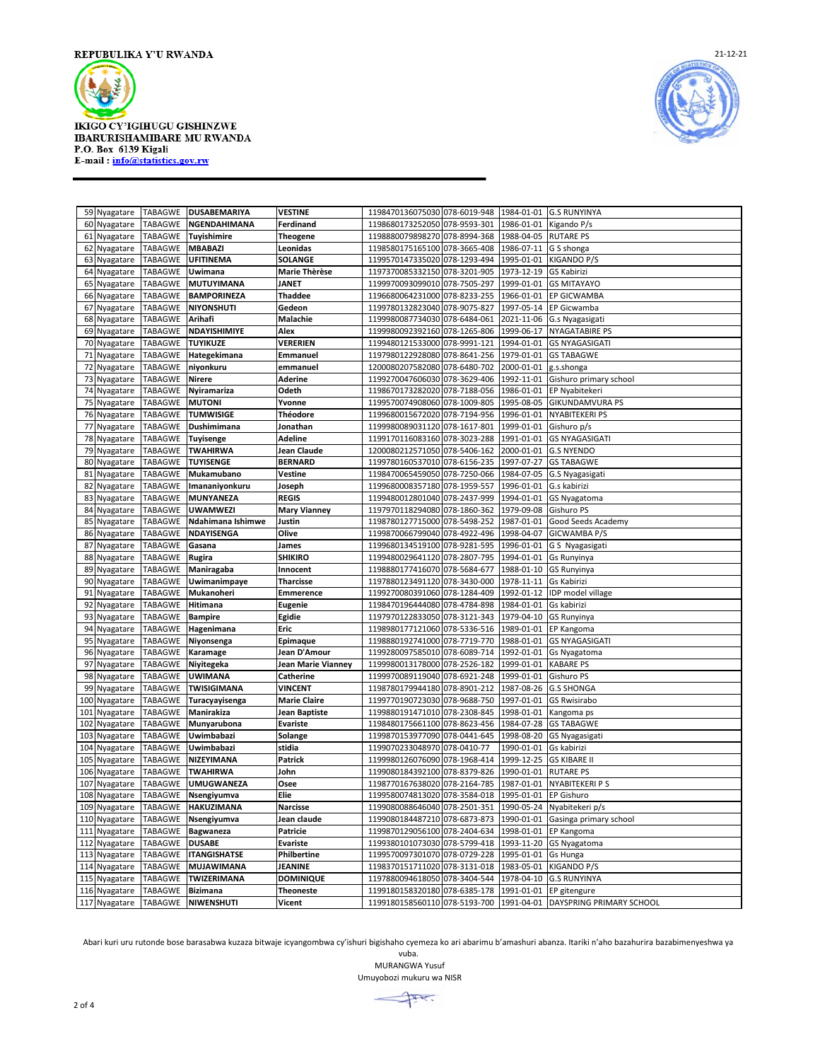



|     | 59 Nyagatare          | <b>TABAGWE</b> | <b>DUSABEMARIYA</b>   | VESTINE             | 1198470136075030 078-6019-948<br>1984-01-01<br><b>G.S RUNYINYA</b>    |  |
|-----|-----------------------|----------------|-----------------------|---------------------|-----------------------------------------------------------------------|--|
|     | 60 Nyagatare          | TABAGWE        | NGENDAHIMANA          | Ferdinand           | 1198680173252050 078-9593-301<br>1986-01-01<br>Kigando P/s            |  |
| 61  | Nyagatare             | TABAGWE        | Tuyishimire           | Theogene            | 1198880079898270<br>078-8994-368<br>1988-04-05<br><b>RUTARE PS</b>    |  |
| 62  | Nyagatare             | <b>TABAGWE</b> | <b>MBABAZI</b>        | Leonidas            | 1198580175165100 078-3665-408<br>1986-07-11<br>G S shonga             |  |
| 63  | Nyagatare             | TABAGWE        | <b>UFITINEMA</b>      | <b>SOLANGE</b>      | 078-1293-494<br>1199570147335020<br>1995-01-01<br>KIGANDO P/S         |  |
| 64  | Nyagatare             | <b>TABAGWE</b> | Uwimana               | Marie Thèrèse       | 1197370085332150 078-3201-905<br>1973-12-19<br>GS Kabirizi            |  |
| 65  | Nyagatare             | TABAGWE        | MUTUYIMANA            | JANET               | 1199970093099010 078-7505-297<br>1999-01-01<br><b>GS MITAYAYO</b>     |  |
| 66  | Nyagatare             | <b>TABAGWE</b> | <b>BAMPORINEZA</b>    | Thaddee             | 1196680064231000 078-8233-255<br>1966-01-01<br>EP GICWAMBA            |  |
| 67  | Nyagatare             | TABAGWE        | <b>NIYONSHUTI</b>     | Gedeon              | 1199780132823040 078-9075-827<br>1997-05-14<br>EP Gicwamba            |  |
| 68  | Nyagatare             | <b>TABAGWE</b> | Arihafi               | Malachie            | 1199980087734030 078-6484-061<br>2021-11-06<br>G.s Nyagasigati        |  |
| 69  | Nyagatare             | TABAGWE        | NDAYISHIMIYE          | Alex                | 1199980092392160 078-1265-806<br>1999-06-17<br><b>NYAGATABIRE PS</b>  |  |
|     | 70 Nyagatare          | <b>TABAGWE</b> | <b>TUYIKUZE</b>       | <b>VERERIEN</b>     | 1199480121533000 078-9991-121<br>1994-01-01<br><b>GS NYAGASIGATI</b>  |  |
|     | 71 Nyagatare          | TABAGWE        | Hategekimana          | Emmanuel            | 1197980122928080 078-8641-256<br>1979-01-01<br><b>GS TABAGWE</b>      |  |
| 72  | Nyagatare             | <b>TABAGWE</b> | niyonkuru             | emmanuel            | 1200080207582080 078-6480-702<br>2000-01-01<br>g.s.shonga             |  |
|     | 73 Nyagatare          | TABAGWE        | Nirere                | Aderine             | 1199270047606030 078-3629-406<br>1992-11-01<br>Gishuro primary school |  |
|     | 74 Nyagatare          | TABAGWE        | Nyiramariza           | Odeth               | 078-7188-056<br>1986-01-01<br>1198670173282020<br>EP Nyabitekeri      |  |
|     |                       | TABAGWE        | <b>MUTONI</b>         | Yvonne              | 1199570074908060 078-1009-805<br>1995-08-05<br><b>GIKUNDAMVURA PS</b> |  |
|     | 75 Nyagatare          | TABAGWE        | <b>TUMWISIGE</b>      | Théodore            | 1199680015672020 078-7194-956<br>1996-01-01<br>NYABITEKERI PS         |  |
|     | 76 Nyagatare          |                |                       |                     |                                                                       |  |
|     | 77 Nyagatare          | TABAGWE        | Dushimimana           | Jonathan            | 1999-01-01<br>1199980089031120 078-1617-801<br>Gishuro p/s            |  |
| 78  | Nyagatare             | TABAGWE        | Tuyisenge             | Adeline             | 1199170116083160 078-3023-288<br>1991-01-01<br><b>GS NYAGASIGATI</b>  |  |
| 79  | Nyagatare             | TABAGWE        | <b>TWAHIRWA</b>       | Jean Claude         | 1200080212571050 078-5406-162<br>2000-01-01<br><b>G.S NYENDO</b>      |  |
| 80  | Nyagatare             | <b>TABAGWE</b> | <b>TUYISENGE</b>      | <b>BERNARD</b>      | 1199780160537010 078-6156-235<br>1997-07-27<br><b>GS TABAGWE</b>      |  |
|     | 81 Nyagatare          | <b>TABAGWE</b> | Mukamubano            | Vestine             | 1198470065459050 078-7250-066<br>1984-07-05<br>G.S Nyagasigati        |  |
| 82  | Nyagatare             | <b>TABAGWE</b> | <b>Imananiyonkuru</b> | Joseph              | 1199680008357180 078-1959-557<br>1996-01-01<br>G.s kabirizi           |  |
|     | 83 Nyagatare          | TABAGWE        | MUNYANEZA             | REGIS               | 1199480012801040 078-2437-999<br>1994-01-01<br>GS Nyagatoma           |  |
|     | 84 Nyagatare          | TABAGWE        | <b>UWAMWEZI</b>       | <b>Mary Vianney</b> | 078-1860-362<br>1979-09-08<br>1197970118294080<br>Gishuro PS          |  |
| 85  | Nyagatare             | TABAGWE        | Ndahimana Ishimwe     | Justin              | 1987-01-01<br>1198780127715000<br>078-5498-252<br>Good Seeds Academy  |  |
| 86  | Nyagatare             | TABAGWE        | NDAYISENGA            | Olive               | 078-4922-496<br>1998-04-07<br>1199870066799040<br>GICWAMBA P/S        |  |
| 87  | Nyagatare             | <b>TABAGWE</b> | Gasana                | James               | 1199680134519100<br>078-9281-595<br>1996-01-01<br>G S Nyagasigati     |  |
| 88  | Nyagatare             | TABAGWE        | Rugira                | SHIKIRO             | 078-2807-795<br>1199480029641120<br>1994-01-01<br>Gs Runyinya         |  |
| 89  | Nyagatare             | <b>TABAGWE</b> | Maniragaba            | Innocent            | 1198880177416070 078-5684-677<br>1988-01-10<br>GS Runyinya            |  |
| 90  | Nyagatare             | TABAGWE        | Uwimanimpaye          | <b>Tharcisse</b>    | 1197880123491120 078-3430-000<br>1978-11-11<br>Gs Kabirizi            |  |
|     | 91 Nyagatare          | <b>TABAGWE</b> | Mukanoheri            | <b>Emmerence</b>    | 1199270080391060 078-1284-409<br>1992-01-12<br>IDP model village      |  |
| 92  | Nyagatare             | TABAGWE        | Hitimana              | <b>Eugenie</b>      | 1198470196444080 078-4784-898<br>1984-01-01<br>Gs kabirizi            |  |
| 93  | Nyagatare             | <b>TABAGWE</b> | <b>Bampire</b>        | Egidie              | 1197970122833050 078-3121-343<br>1979-04-10<br><b>GS Runyinya</b>     |  |
|     | 94 Nyagatare          | TABAGWE        | Hagenimana            | Eric                | 1989-01-01<br>1198980177121060 078-5336-516<br>EP Kangoma             |  |
|     | 95 Nyagatare          | TABAGWE        | Niyonsenga            | Epimaque            | 1198880192741000 078-7719-770<br>1988-01-01<br><b>GS NYAGASIGATI</b>  |  |
|     | 96 Nyagatare          | TABAGWE        | Karamage              | Jean D'Amour        | 1199280097585010<br>078-6089-714<br>1992-01-01<br>Gs Nyagatoma        |  |
|     | 97 Nyagatare          | TABAGWE        | Niyitegeka            | Jean Marie Vianney  | 1199980013178000<br>078-2526-182<br>1999-01-01<br><b>KABARE PS</b>    |  |
|     | 98 Nyagatare          | TABAGWE        | <b>UWIMANA</b>        | Catherine           | 1199970089119040 078-6921-248<br>1999-01-01<br>Gishuro PS             |  |
| 99  | Nyagatare             | TABAGWE        | TWISIGIMANA           | <b>VINCENT</b>      | 1198780179944180 078-8901-212<br>1987-08-26<br><b>G.S SHONGA</b>      |  |
|     | 100 Nyagatare         | TABAGWE        | Turacyayisenga        | <b>Marie Claire</b> | 1997-01-01<br>1199770190723030 078-9688-750<br>GS Rwisirabo           |  |
|     | 101 Nyagatare         | TABAGWE        | Manirakiza            | Jean Baptiste       | 1199880191471010 078-2308-845<br>1998-01-01<br>Kangoma ps             |  |
|     | 102 Nyagatare         | TABAGWE        | Munyarubona           | <b>Evariste</b>     | 1984-07-28<br>1198480175661100 078-8623-456<br><b>GS TABAGWE</b>      |  |
| 103 | Nyagatare             | TABAGWE        | Uwimbabazi            | Solange             | 1199870153977090 078-0441-645<br>1998-08-20<br>GS Nyagasigati         |  |
|     | 104 Nyagatare         | TABAGWE        | Uwimbabazi            | stidia              | 1990-01-01<br>1199070233048970 078-0410-77<br>Gs kabirizi             |  |
| 105 | Nyagatare             | TABAGWE        | NIZEYIMANA            | Patrick             | 1199980126076090 078-1968-414<br>1999-12-25<br><b>GS KIBARE II</b>    |  |
| 106 | Nyagatare             | <b>TABAGWE</b> | <b>TWAHIRWA</b>       | John                | 1199080184392100 078-8379-826<br>1990-01-01<br><b>RUTARE PS</b>       |  |
| 107 | Nyagatare             | <b>TABAGWE</b> | UMUGWANEZA            | Osee                | 1198770167638020 078-2164-785<br>1987-01-01<br>NYABITEKERI P S        |  |
|     | 108 Nyagatare TABAGWE |                | Nsengiyumva           | Elie                | 1199580074813020 078-3584-018<br>1995-01-01<br><b>EP Gishuro</b>      |  |
|     | 109 Nyagatare TABAGWE |                | <b>HAKUZIMANA</b>     | Narcisse            | 1199080088646040 078-2501-351 1990-05-24 Nyabitekeri p/s              |  |
|     | 110 Nyagatare         | <b>TABAGWE</b> | Nsengiyumva           | Jean claude         | 1199080184487210 078-6873-873<br>1990-01-01<br>Gasinga primary school |  |
|     | 111 Nyagatare         | TABAGWE        | Bagwaneza             | Patricie            | 1199870129056100 078-2404-634<br>1998-01-01<br>EP Kangoma             |  |
|     | 112 Nyagatare         | TABAGWE        | <b>DUSABE</b>         | <b>Evariste</b>     | 1199380101073030 078-5799-418<br>1993-11-20<br>GS Nyagatoma           |  |
|     | 113 Nyagatare         | TABAGWE        | <b>ITANGISHATSE</b>   | Philbertine         | 1199570097301070 078-0729-228<br>1995-01-01<br>Gs Hunga               |  |
|     | 114 Nyagatare         | TABAGWE        | <b>MUJAWIMANA</b>     | JEANINE             | 1983-05-01<br>1198370151711020 078-3131-018<br><b>KIGANDO P/S</b>     |  |
|     | 115 Nyagatare         | TABAGWE        | TWIZERIMANA           | <b>DOMINIQUE</b>    | 1197880094618050 078-3404-544<br>1978-04-10<br><b>G.S RUNYINYA</b>    |  |
|     | 116 Nyagatare         | <b>TABAGWE</b> | <b>Bizimana</b>       | <b>Theoneste</b>    | 1199180158320180 078-6385-178 1991-01-01 EP gitengure                 |  |
|     | 117 Nyagatare         | <b>TABAGWE</b> | NIWENSHUTI            | Vicent              | 1199180158560110 078-5193-700 1991-04-01 DAYSPRING PRIMARY SCHOOL     |  |
|     |                       |                |                       |                     |                                                                       |  |

Abari kuri uru rutonde bose barasabwa kuzaza bitwaje icyangombwa cy'ishuri bigishaho cyemeza ko ari abarimu b'amashuri abanza. Itariki n'aho bazahurira bazabimenyeshwa ya

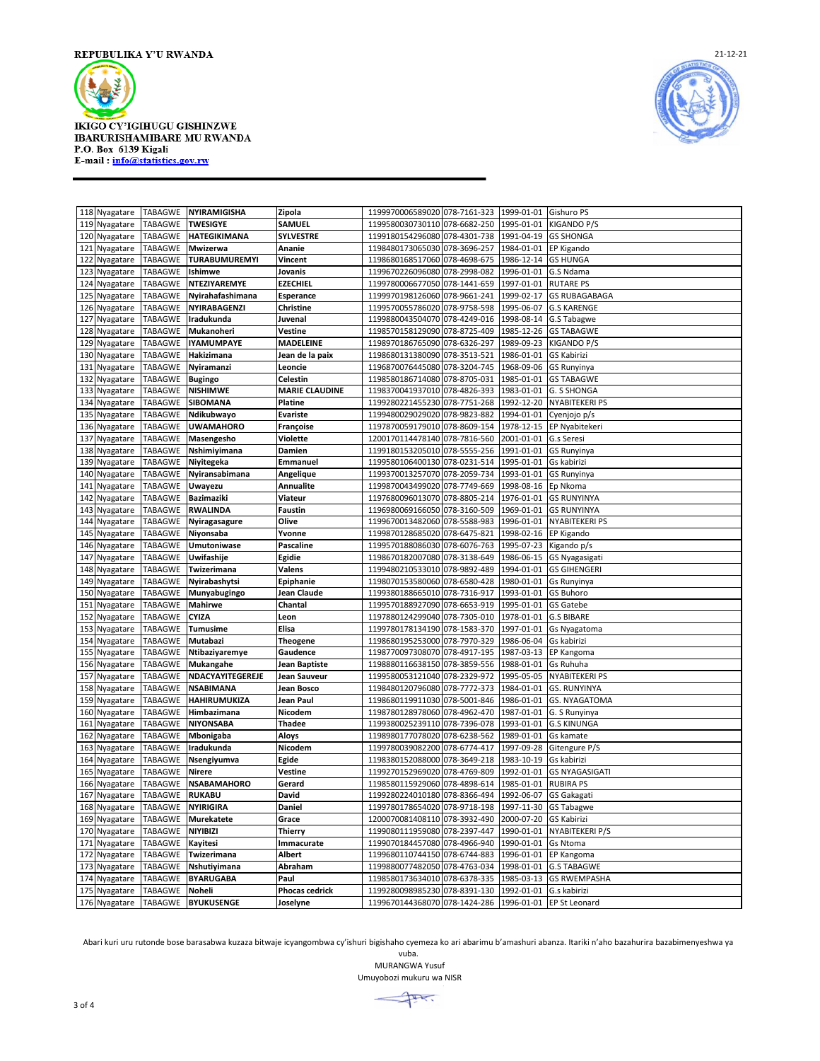



| 118 Nyagatare                   | TABAGWE        | <b>NYIRAMIGISHA</b> | Zipola                | 1199970006589020 078-7161-323                          |              | 1999-01-01             | Gishuro PS                 |
|---------------------------------|----------------|---------------------|-----------------------|--------------------------------------------------------|--------------|------------------------|----------------------------|
| 119 Nyagatare                   | TABAGWE        | <b>TWESIGYE</b>     | SAMUEL                | 1199580030730110 078-6682-250                          |              | 1995-01-01             | KIGANDO P/S                |
| 120 Nyagatare                   | TABAGWE        | <b>HATEGIKIMANA</b> | <b>SYLVESTRE</b>      | 1199180154296080 078-4301-738                          |              | 1991-04-19             | <b>GS SHONGA</b>           |
| 121 Nyagatare                   | TABAGWE        | Mwizerwa            | Ananie                | 1198480173065030 078-3696-257                          |              | 1984-01-01             | EP Kigando                 |
| 122<br>Nyagatare                | TABAGWE        | TURABUMUREMYI       | Vincent               | 1198680168517060 078-4698-675                          |              | 1986-12-14             | <b>GS HUNGA</b>            |
| 123 Nyagatare                   | <b>TABAGWE</b> | Ishimwe             | Jovanis               | 1199670226096080 078-2998-082                          |              | 1996-01-01             | G.S Ndama                  |
| 124 Nyagatare                   | TABAGWE        | NTEZIYAREMYE        | <b>EZECHIEL</b>       | 1199780006677050                                       | 078-1441-659 | 1997-01-01             | <b>RUTARE PS</b>           |
| 125 Nyagatare                   | TABAGWE        | Nyirahafashimana    | Esperance             | 1199970198126060 078-9661-241                          |              | 1999-02-17             | <b>GS RUBAGABAGA</b>       |
| 126 Nyagatare                   | TABAGWE        | NYIRABAGENZI        | Christine             | 1199570055786020 078-9758-598                          |              | 1995-06-07             | <b>G.S KARENGE</b>         |
|                                 | TABAGWE        | Iradukunda          |                       | 1199880043504070 078-4249-016                          |              | 1998-08-14             |                            |
| 127 Nyagatare                   |                |                     | Juvenal               |                                                        |              |                        | G.S Tabagwe                |
| 128 Nyagatare                   | TABAGWE        | Mukanoheri          | Vestine               | 1198570158129090 078-8725-409                          |              | 1985-12-26             | <b>GS TABAGWE</b>          |
| 129 Nyagatare                   | TABAGWE        | <b>IYAMUMPAYE</b>   | MADELEINE             | 1198970186765090 078-6326-297                          |              | 1989-09-23             | KIGANDO P/S                |
| 130 Nyagatare                   | TABAGWE        | Hakizimana          | Jean de la paix       | 1198680131380090 078-3513-521                          |              | 1986-01-01             | <b>GS Kabirizi</b>         |
| 131 Nyagatare                   | TABAGWE        | Nyiramanzi          | Leoncie               | 1196870076445080 078-3204-745                          |              | 1968-09-06             | <b>GS Runyinya</b>         |
| 132 Nyagatare                   | TABAGWE        | <b>Bugingo</b>      | Celestin              | 1198580186714080 078-8705-031                          |              | 1985-01-01             | <b>GS TABAGWE</b>          |
| 133 Nyagatare                   | TABAGWE        | <b>NISHIMWE</b>     | <b>MARIE CLAUDINE</b> | 1198370041937010 078-4826-393                          |              | 1983-01-01             | G. S SHONGA                |
| 134 Nyagatare                   | TABAGWE        | <b>SIBOMANA</b>     | Platine               | 1199280221455230                                       | 078-7751-268 | 1992-12-20             | NYABITEKERI PS             |
| 135 Nyagatare                   | TABAGWE        | Ndikubwayo          | Evariste              | 1199480029029020                                       | 078-9823-882 | 1994-01-01             | Cyenjojo p/s               |
| 136 Nyagatare                   | TABAGWE        | <b>UWAMAHORO</b>    | Françoise             | 1197870059179010 078-8609-154                          |              | 1978-12-15             | EP Nyabitekeri             |
| 137 Nyagatare                   | TABAGWE        | Masengesho          | Violette              | 1200170114478140 078-7816-560                          |              | 2001-01-01             | G.s Seresi                 |
| 138 Nyagatare                   | TABAGWE        | Nshimiyimana        | Damien                | 1199180153205010 078-5555-256                          |              | 1991-01-01             | <b>GS Runyinya</b>         |
| 139 Nyagatare                   | TABAGWE        | Niyitegeka          | Emmanuel              | 1199580106400130 078-0231-514                          |              | 1995-01-01             | Gs kabirizi                |
| 140 Nyagatare                   | <b>TABAGWE</b> | Nyiransabimana      | Angelique             | 1199370013257070 078-2059-734                          |              | 1993-01-01             | GS Runyinya                |
| 141 Nyagatare                   | TABAGWE        | <b>Uwayezu</b>      | Annualite             | 1199870043499020 078-7749-669                          |              | 1998-08-16             | Ep Nkoma                   |
| 142 Nyagatare                   | TABAGWE        | Bazimaziki          | Viateur               | 1197680096013070 078-8805-214                          |              | 1976-01-01             | <b>GS RUNYINYA</b>         |
| 143 Nyagatare                   | TABAGWE        | <b>RWALINDA</b>     | Faustin               | 1196980069166050 078-3160-509                          |              | 1969-01-01             | <b>GS RUNYINYA</b>         |
| 144 Nyagatare                   | TABAGWE        | Nyiragasagure       | Olive                 | 1199670013482060 078-5588-983                          |              | 1996-01-01             | <b>NYABITEKERI PS</b>      |
| 145 Nyagatare                   | TABAGWE        | Niyonsaba           | Yvonne                | 1199870128685020 078-6475-821                          |              | 1998-02-16             | EP Kigando                 |
| 146 Nyagatare                   | TABAGWE        | Umutoniwase         | Pascaline             | 1199570188086030 078-6076-763                          |              | 1995-07-23             | Kigando p/s                |
| 147<br>Nyagatare                | TABAGWE        | Uwifashije          | Egidie                | 1198670182007080                                       | 078-3138-649 | 1986-06-15             | GS Nyagasigati             |
|                                 | TABAGWE        | Twizerimana         | Valens                | 1199480210533010                                       | 078-9892-489 | 1994-01-01             | <b>GS GIHENGERI</b>        |
| 148 Nyagatare                   | TABAGWE        |                     |                       | 1198070153580060 078-6580-428                          |              |                        |                            |
| 149 Nyagatare                   |                | Nyirabashytsi       | Epiphanie             |                                                        |              | 1980-01-01             | Gs Runyinya                |
| 150 Nyagatare                   | TABAGWE        | Munyabugingo        | Jean Claude           | 1199380188665010 078-7316-917                          |              | 1993-01-01             | <b>GS Buhoro</b>           |
| 151 Nyagatare                   | TABAGWE        | <b>Mahirwe</b>      | Chantal               | 1199570188927090 078-6653-919                          |              | 1995-01-01             | GS Gatebe                  |
| 152 Nyagatare                   | TABAGWE        | <b>CYIZA</b>        | Leon                  | 1197880124299040 078-7305-010                          |              | 1978-01-01             | <b>G.S BIBARE</b>          |
| 153 Nyagatare                   | TABAGWE        | Tumusime            | Elisa                 | 1199780178134190 078-1583-370                          |              | 1997-01-01             | Gs Nyagatoma               |
| 154 Nyagatare                   | TABAGWE        | Mutabazi            | Theogene              | 1198680195253000 078-7970-329                          |              | 1986-06-04             | Gs kabirizi                |
| 155 Nyagatare                   | TABAGWE        | Ntibaziyaremye      | Gaudence              | 1198770097308070 078-4917-195                          |              | 1987-03-13             | EP Kangoma                 |
| 156 Nyagatare                   | TABAGWE        | Mukangahe           | Jean Baptiste         | 1198880116638150 078-3859-556                          |              | 1988-01-01             | <b>Gs Ruhuha</b>           |
| 157 Nyagatare                   | TABAGWE        | NDACYAYITEGEREJE    | Jean Sauveur          | 1199580053121040 078-2329-972                          |              | 1995-05-05             | <b>NYABITEKERI PS</b>      |
| 158 Nyagatare                   | TABAGWE        | <b>NSABIMANA</b>    | Jean Bosco            | 1198480120796080                                       | 078-7772-373 | 1984-01-01             | <b>GS. RUNYINYA</b>        |
| 159 Nyagatare                   | TABAGWE        | <b>HAHIRUMUKIZA</b> | Jean Paul             | 1198680119911030 078-5001-846                          |              | 1986-01-01             | GS. NYAGATOMA              |
| 160 Nyagatare                   | TABAGWE        | Himbazimana         | Nicodem               | 1198780128978060                                       | 078-4962-470 | 1987-01-01             | G. S Runyinya              |
| 161 Nyagatare                   | TABAGWE        | <b>NIYONSABA</b>    | Thadee                | 1199380025239110 078-7396-078                          |              | 1993-01-01             | <b>G.S KINUNGA</b>         |
| 162 Nyagatare                   | TABAGWE        | Mbonigaba           | Aloys                 | 1198980177078020 078-6238-562                          |              | 1989-01-01             | Gs kamate                  |
| 163 Nyagatare                   | TABAGWE        | Iradukunda          | Nicodem               | 1199780039082200 078-6774-417                          |              | 1997-09-28             | Gitengure P/S              |
| 164 Nyagatare                   | TABAGWE        | Nsengiyumva         | Egide                 | 1198380152088000 078-3649-218                          |              | 1983-10-19             | Gs kabirizi                |
| 165 Nyagatare                   | TABAGWE        | <b>Nirere</b>       | Vestine               | 1199270152969020 078-4769-809                          |              | 1992-01-01             | <b>GS NYAGASIGATI</b>      |
| 166 Nyagatare                   | <b>TABAGWE</b> | <b>NSABAMAHORO</b>  | Gerard                | 1198580115929060 078-4898-614                          |              | 1985-01-01             | <b>RUBIRA PS</b>           |
| 167 Nyagatare TABAGWE           |                | <b>RUKABU</b>       | David                 | 1199280224010180 078-8366-494                          |              | 1992-06-07             | <b>GS Gakagati</b>         |
| 168 Nyagatare TABAGWE NYIRIGIRA |                |                     | <b>Daniel</b>         | 1199780178654020 078-9718-198 1997-11-30 GS Tabagwe    |              |                        |                            |
| 169 Nyagatare                   |                | TABAGWE Murekatete  | Grace                 | 1200070081408110 078-3932-490                          |              | 2000-07-20 GS Kabirizi |                            |
| 170 Nyagatare                   | TABAGWE        | <b>NIYIBIZI</b>     | Thierry               | 1199080111959080 078-2397-447                          |              |                        | 1990-01-01 NYABITEKERI P/S |
|                                 | TABAGWE        |                     |                       |                                                        |              |                        |                            |
| 171 Nyagatare                   |                | Kayitesi            | Immacurate            | 1199070184457080 078-4966-940                          |              | 1990-01-01             | <b>Gs Ntoma</b>            |
| 172 Nyagatare                   | TABAGWE        | Twizerimana         | Albert                | 1199680110744150 078-6744-883                          |              |                        | 1996-01-01 EP Kangoma      |
| 173 Nyagatare                   | TABAGWE        | Nshutiyimana        | Abraham               | 1199880077482050 078-4763-034                          |              | 1998-01-01             | <b>G.S TABAGWE</b>         |
| 174 Nyagatare                   | TABAGWE        | <b>BYARUGABA</b>    | Paul                  | 1198580173634010 078-6378-335                          |              | 1985-03-13             | <b>GS RWEMPASHA</b>        |
| 175 Nyagatare TABAGWE Noheli    |                |                     | Phocas cedrick        | 1199280098985230 078-8391-130 1992-01-01 G.s kabirizi  |              |                        |                            |
| 176 Nyagatare                   | TABAGWE        | <b>BYUKUSENGE</b>   | Joselyne              | 1199670144368070 078-1424-286 1996-01-01 EP St Leonard |              |                        |                            |

Abari kuri uru rutonde bose barasabwa kuzaza bitwaje icyangombwa cy'ishuri bigishaho cyemeza ko ari abarimu b'amashuri abanza. Itariki n'aho bazahurira bazabimenyeshwa ya